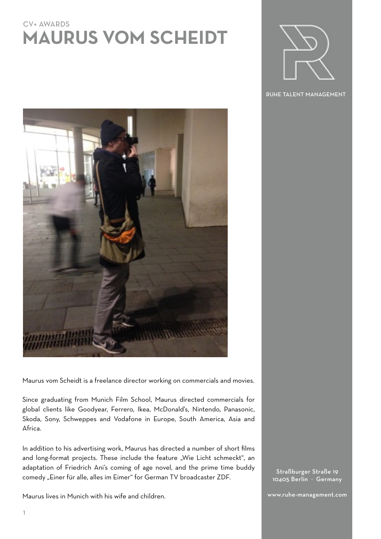## CV+ AWARDS **MAURUS VOM SCHEIDT**



RUHE TALENT MANAGEMENT



Maurus vom Scheidt is a freelance director working on commercials and movies.

Since graduating from Munich Film School, Maurus directed commercials for global clients like Goodyear, Ferrero, Ikea, McDonald's, Nintendo, Panasonic, Skoda, Sony, Schweppes and Vodafone in Europe, South America, Asia and Africa.

In addition to his advertising work, Maurus has directed a number of short films and long-format projects. These include the feature "Wie Licht schmeckt", an adaptation of Friedrich Ani's coming of age novel, and the prime time buddy comedy "Einer für alle, alles im Eimer" for German TV broadcaster ZDF.

Maurus lives in Munich with his wife and children.

Straßburger Straße 19 10405 Berlin · Germany

www.ruhe-management.com